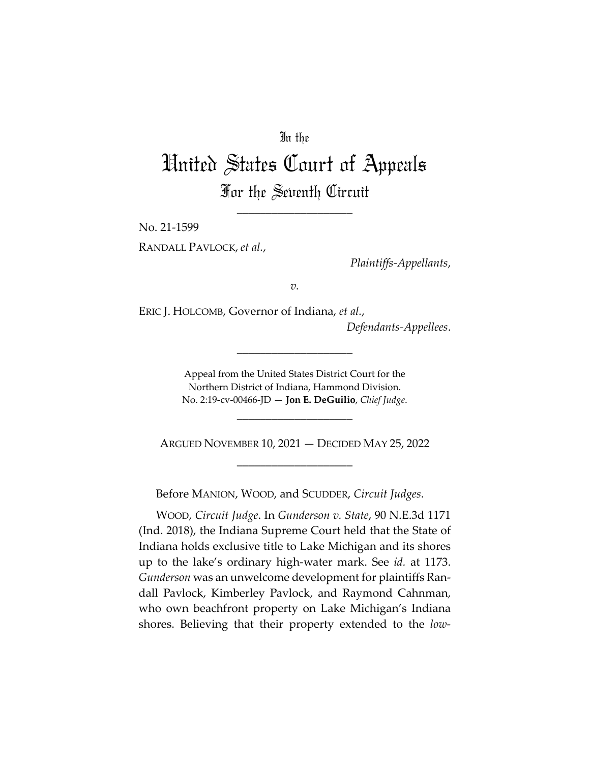## In the

# United States Court of Appeals For the Seventh Circuit

\_\_\_\_\_\_\_\_\_\_\_\_\_\_\_\_\_\_\_\_

No. 21-1599

RANDALL PAVLOCK, *et al.*,

*Plaintiffs-Appellants*,

*v.*

ERIC J. HOLCOMB, Governor of Indiana, *et al.*,

*Defendants-Appellees*.

Appeal from the United States District Court for the Northern District of Indiana, Hammond Division. No. 2:19-cv-00466-JD — **Jon E. DeGuilio**, *Chief Judge*.

\_\_\_\_\_\_\_\_\_\_\_\_\_\_\_\_\_\_\_\_

\_\_\_\_\_\_\_\_\_\_\_\_\_\_\_\_\_\_\_\_

ARGUED NOVEMBER 10, 2021 — DECIDED MAY 25, 2022 \_\_\_\_\_\_\_\_\_\_\_\_\_\_\_\_\_\_\_\_

Before MANION, WOOD, and SCUDDER, *Circuit Judges*.

WOOD, *Circuit Judge*. In *Gunderson v. State*, 90 N.E.3d 1171 (Ind. 2018), the Indiana Supreme Court held that the State of Indiana holds exclusive title to Lake Michigan and its shores up to the lake's ordinary high-water mark. See *id.* at 1173. *Gunderson* was an unwelcome development for plaintiffs Randall Pavlock, Kimberley Pavlock, and Raymond Cahnman, who own beachfront property on Lake Michigan's Indiana shores. Believing that their property extended to the *low*-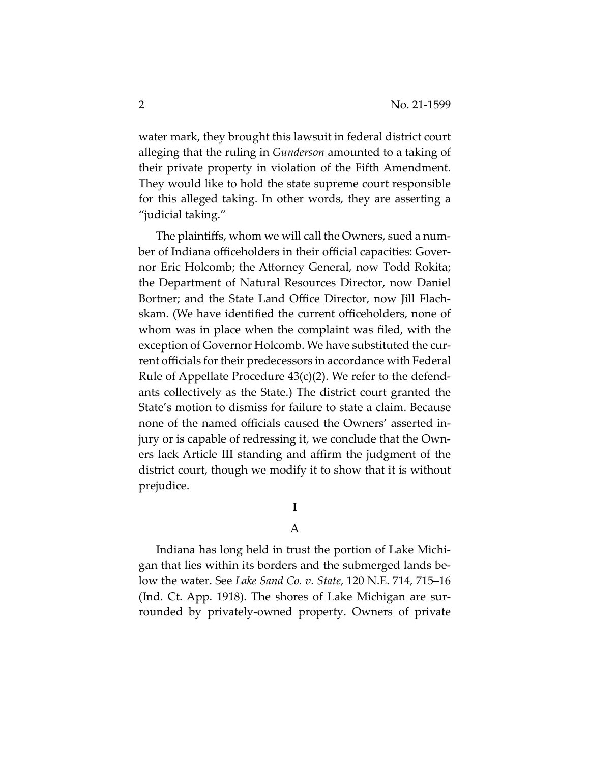water mark, they brought this lawsuit in federal district court alleging that the ruling in *Gunderson* amounted to a taking of their private property in violation of the Fifth Amendment. They would like to hold the state supreme court responsible for this alleged taking. In other words, they are asserting a "judicial taking."

The plaintiffs, whom we will call the Owners, sued a number of Indiana officeholders in their official capacities: Governor Eric Holcomb; the Attorney General, now Todd Rokita; the Department of Natural Resources Director, now Daniel Bortner; and the State Land Office Director, now Jill Flachskam. (We have identified the current officeholders, none of whom was in place when the complaint was filed, with the exception of Governor Holcomb. We have substituted the current officials for their predecessors in accordance with Federal Rule of Appellate Procedure 43(c)(2). We refer to the defendants collectively as the State.) The district court granted the State's motion to dismiss for failure to state a claim. Because none of the named officials caused the Owners' asserted injury or is capable of redressing it, we conclude that the Owners lack Article III standing and affirm the judgment of the district court, though we modify it to show that it is without prejudice.

## **I**

### A

Indiana has long held in trust the portion of Lake Michigan that lies within its borders and the submerged lands below the water. See *Lake Sand Co. v. State*, 120 N.E. 714, 715–16 (Ind. Ct. App. 1918). The shores of Lake Michigan are surrounded by privately-owned property. Owners of private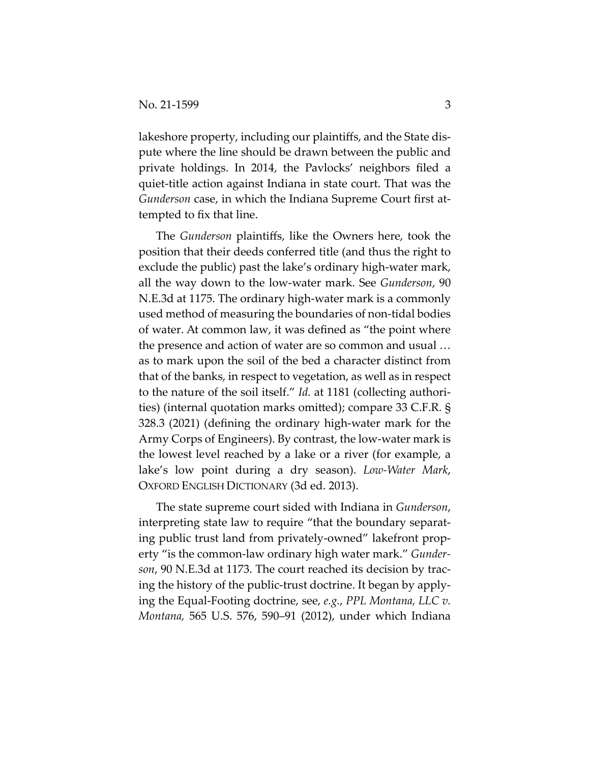lakeshore property, including our plaintiffs, and the State dispute where the line should be drawn between the public and private holdings. In 2014, the Pavlocks' neighbors filed a quiet-title action against Indiana in state court. That was the *Gunderson* case, in which the Indiana Supreme Court first attempted to fix that line.

The *Gunderson* plaintiffs, like the Owners here, took the position that their deeds conferred title (and thus the right to exclude the public) past the lake's ordinary high-water mark, all the way down to the low-water mark. See *Gunderson*, 90 N.E.3d at 1175. The ordinary high-water mark is a commonly used method of measuring the boundaries of non-tidal bodies of water. At common law, it was defined as "the point where the presence and action of water are so common and usual … as to mark upon the soil of the bed a character distinct from that of the banks, in respect to vegetation, as well as in respect to the nature of the soil itself." *Id.* at 1181 (collecting authorities) (internal quotation marks omitted); compare 33 C.F.R. § 328.3 (2021) (defining the ordinary high-water mark for the Army Corps of Engineers). By contrast, the low-water mark is the lowest level reached by a lake or a river (for example, a lake's low point during a dry season). *Low-Water Mark*, OXFORD ENGLISH DICTIONARY (3d ed. 2013).

The state supreme court sided with Indiana in *Gunderson*, interpreting state law to require "that the boundary separating public trust land from privately-owned" lakefront property "is the common-law ordinary high water mark." *Gunderson*, 90 N.E.3d at 1173. The court reached its decision by tracing the history of the public-trust doctrine. It began by applying the Equal-Footing doctrine, see, *e.g.*, *PPL Montana, LLC v. Montana,* 565 U.S. 576, 590–91 (2012), under which Indiana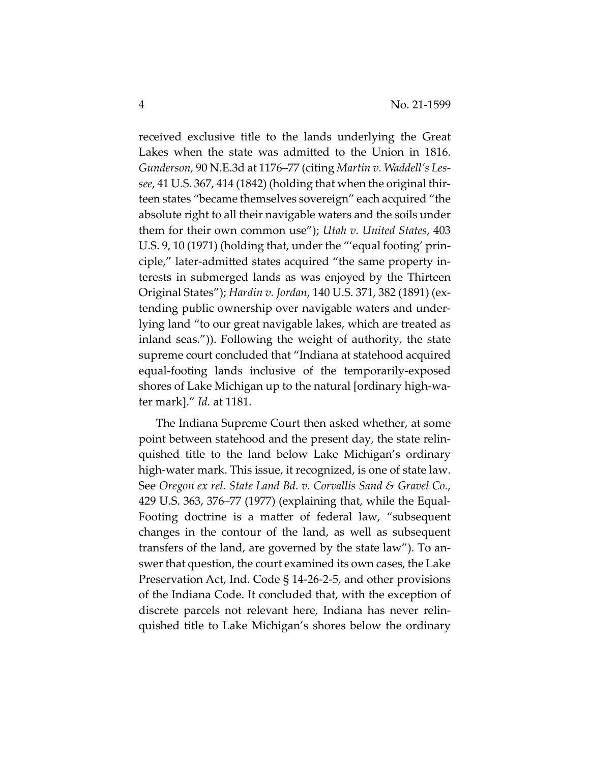received exclusive title to the lands underlying the Great Lakes when the state was admitted to the Union in 1816. *Gunderson,* 90 N.E.3d at 1176–77 (citing *Martin v. Waddell's Lessee*, 41 U.S. 367, 414 (1842) (holding that when the original thirteen states "became themselves sovereign" each acquired "the absolute right to all their navigable waters and the soils under them for their own common use"); *Utah v. United States*, 403 U.S. 9, 10 (1971) (holding that, under the "'equal footing' principle," later-admitted states acquired "the same property interests in submerged lands as was enjoyed by the Thirteen Original States"); *Hardin v. Jordan*, 140 U.S. 371, 382 (1891) (extending public ownership over navigable waters and underlying land "to our great navigable lakes, which are treated as inland seas.")). Following the weight of authority, the state supreme court concluded that "Indiana at statehood acquired equal-footing lands inclusive of the temporarily-exposed shores of Lake Michigan up to the natural [ordinary high-water mark]." *Id.* at 1181.

The Indiana Supreme Court then asked whether, at some point between statehood and the present day, the state relinquished title to the land below Lake Michigan's ordinary high-water mark. This issue, it recognized, is one of state law. See *Oregon ex rel. State Land Bd. v. Corvallis Sand & Gravel Co.*, 429 U.S. 363, 376–77 (1977) (explaining that, while the Equal-Footing doctrine is a matter of federal law, "subsequent changes in the contour of the land, as well as subsequent transfers of the land, are governed by the state law"). To answer that question, the court examined its own cases, the Lake Preservation Act, Ind. Code § 14-26-2-5, and other provisions of the Indiana Code. It concluded that, with the exception of discrete parcels not relevant here, Indiana has never relinquished title to Lake Michigan's shores below the ordinary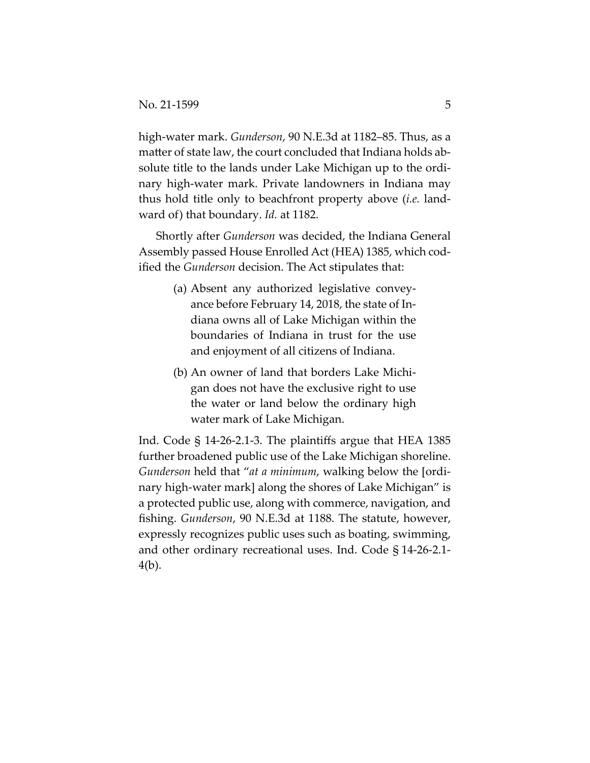high-water mark. *Gunderson*, 90 N.E.3d at 1182–85. Thus, as a matter of state law, the court concluded that Indiana holds absolute title to the lands under Lake Michigan up to the ordinary high-water mark. Private landowners in Indiana may thus hold title only to beachfront property above (*i.e.* landward of) that boundary. *Id.* at 1182.

Shortly after *Gunderson* was decided, the Indiana General Assembly passed House Enrolled Act (HEA) 1385, which codified the *Gunderson* decision. The Act stipulates that:

- (a) Absent any authorized legislative conveyance before February 14, 2018, the state of Indiana owns all of Lake Michigan within the boundaries of Indiana in trust for the use and enjoyment of all citizens of Indiana.
- (b) An owner of land that borders Lake Michigan does not have the exclusive right to use the water or land below the ordinary high water mark of Lake Michigan.

Ind. Code § 14-26-2.1-3. The plaintiffs argue that HEA 1385 further broadened public use of the Lake Michigan shoreline. *Gunderson* held that "*at a minimum*, walking below the [ordinary high-water mark] along the shores of Lake Michigan" is a protected public use, along with commerce, navigation, and fishing. *Gunderson*, 90 N.E.3d at 1188. The statute, however, expressly recognizes public uses such as boating, swimming, and other ordinary recreational uses. Ind. Code § 14-26-2.1- 4(b).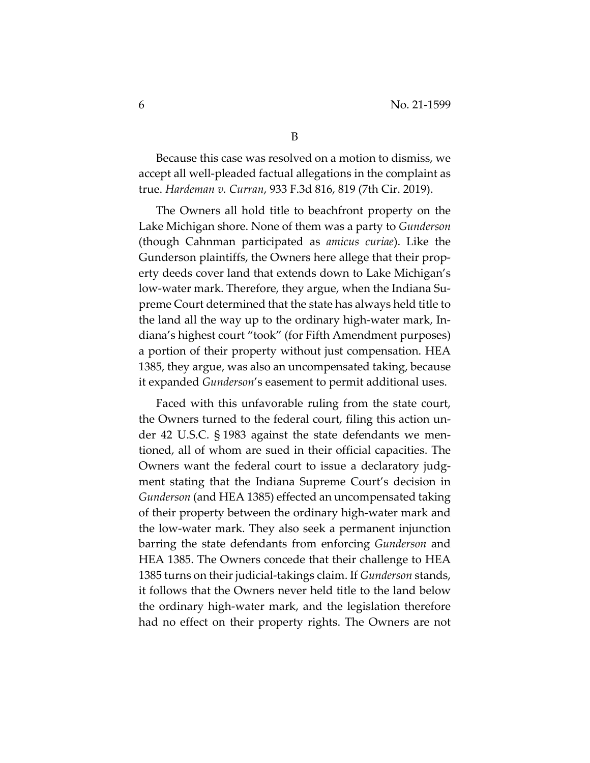Because this case was resolved on a motion to dismiss, we accept all well-pleaded factual allegations in the complaint as true. *Hardeman v. Curran*, 933 F.3d 816, 819 (7th Cir. 2019).

The Owners all hold title to beachfront property on the Lake Michigan shore. None of them was a party to *Gunderson* (though Cahnman participated as *amicus curiae*). Like the Gunderson plaintiffs, the Owners here allege that their property deeds cover land that extends down to Lake Michigan's low-water mark. Therefore, they argue, when the Indiana Supreme Court determined that the state has always held title to the land all the way up to the ordinary high-water mark, Indiana's highest court "took" (for Fifth Amendment purposes) a portion of their property without just compensation. HEA 1385, they argue, was also an uncompensated taking, because it expanded *Gunderson*'s easement to permit additional uses.

Faced with this unfavorable ruling from the state court, the Owners turned to the federal court, filing this action under 42 U.S.C. § 1983 against the state defendants we mentioned, all of whom are sued in their official capacities. The Owners want the federal court to issue a declaratory judgment stating that the Indiana Supreme Court's decision in *Gunderson* (and HEA 1385) effected an uncompensated taking of their property between the ordinary high-water mark and the low-water mark. They also seek a permanent injunction barring the state defendants from enforcing *Gunderson* and HEA 1385. The Owners concede that their challenge to HEA 1385 turns on their judicial-takings claim. If *Gunderson* stands, it follows that the Owners never held title to the land below the ordinary high-water mark, and the legislation therefore had no effect on their property rights. The Owners are not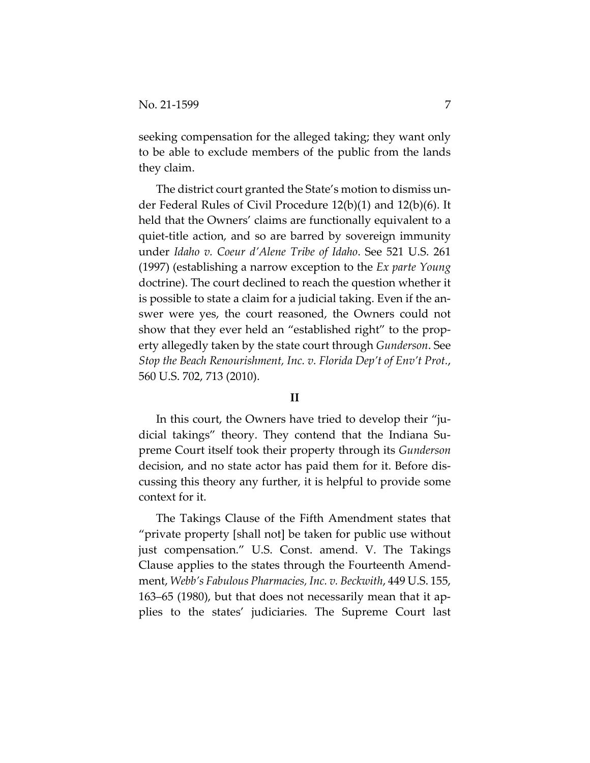seeking compensation for the alleged taking; they want only to be able to exclude members of the public from the lands they claim.

The district court granted the State's motion to dismiss under Federal Rules of Civil Procedure 12(b)(1) and 12(b)(6). It held that the Owners' claims are functionally equivalent to a quiet-title action, and so are barred by sovereign immunity under *Idaho v. Coeur d'Alene Tribe of Idaho*. See 521 U.S. 261 (1997) (establishing a narrow exception to the *Ex parte Young* doctrine). The court declined to reach the question whether it is possible to state a claim for a judicial taking. Even if the answer were yes, the court reasoned, the Owners could not show that they ever held an "established right" to the property allegedly taken by the state court through *Gunderson*. See *Stop the Beach Renourishment, Inc. v. Florida Dep't of Env't Prot.*, 560 U.S. 702, 713 (2010).

#### **II**

In this court, the Owners have tried to develop their "judicial takings" theory. They contend that the Indiana Supreme Court itself took their property through its *Gunderson*  decision, and no state actor has paid them for it. Before discussing this theory any further, it is helpful to provide some context for it.

The Takings Clause of the Fifth Amendment states that "private property [shall not] be taken for public use without just compensation." U.S. Const. amend. V. The Takings Clause applies to the states through the Fourteenth Amendment, *Webb's Fabulous Pharmacies, Inc. v. Beckwith*, 449 U.S. 155, 163–65 (1980), but that does not necessarily mean that it applies to the states' judiciaries. The Supreme Court last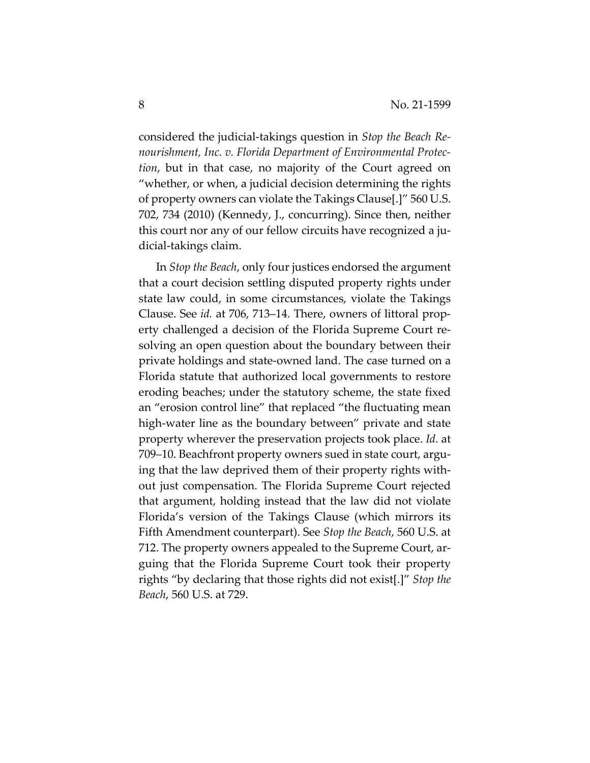considered the judicial-takings question in *Stop the Beach Renourishment, Inc. v. Florida Department of Environmental Protection*, but in that case, no majority of the Court agreed on "whether, or when, a judicial decision determining the rights of property owners can violate the Takings Clause[.]" 560 U.S. 702, 734 (2010) (Kennedy, J., concurring). Since then, neither this court nor any of our fellow circuits have recognized a judicial-takings claim.

In *Stop the Beach*, only four justices endorsed the argument that a court decision settling disputed property rights under state law could, in some circumstances, violate the Takings Clause. See *id.* at 706, 713–14. There, owners of littoral property challenged a decision of the Florida Supreme Court resolving an open question about the boundary between their private holdings and state-owned land. The case turned on a Florida statute that authorized local governments to restore eroding beaches; under the statutory scheme, the state fixed an "erosion control line" that replaced "the fluctuating mean high-water line as the boundary between" private and state property wherever the preservation projects took place. *Id.* at 709–10. Beachfront property owners sued in state court, arguing that the law deprived them of their property rights without just compensation. The Florida Supreme Court rejected that argument, holding instead that the law did not violate Florida's version of the Takings Clause (which mirrors its Fifth Amendment counterpart). See *Stop the Beach*, 560 U.S. at 712. The property owners appealed to the Supreme Court, arguing that the Florida Supreme Court took their property rights "by declaring that those rights did not exist[.]" *Stop the Beach*, 560 U.S. at 729.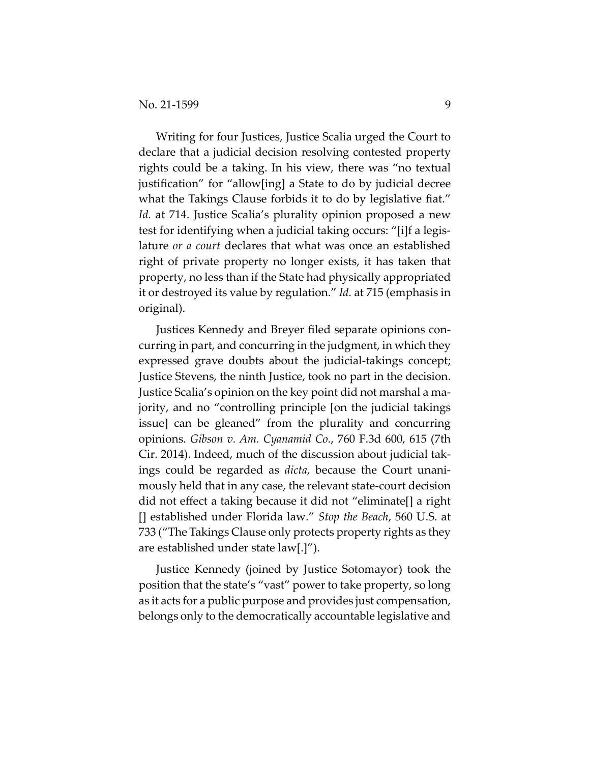Writing for four Justices, Justice Scalia urged the Court to declare that a judicial decision resolving contested property rights could be a taking. In his view, there was "no textual justification" for "allow[ing] a State to do by judicial decree what the Takings Clause forbids it to do by legislative fiat." *Id.* at 714. Justice Scalia's plurality opinion proposed a new test for identifying when a judicial taking occurs: "[i]f a legislature *or a court* declares that what was once an established right of private property no longer exists, it has taken that property, no less than if the State had physically appropriated it or destroyed its value by regulation." *Id.* at 715 (emphasis in original).

Justices Kennedy and Breyer filed separate opinions concurring in part, and concurring in the judgment, in which they expressed grave doubts about the judicial-takings concept; Justice Stevens, the ninth Justice, took no part in the decision. Justice Scalia's opinion on the key point did not marshal a majority, and no "controlling principle [on the judicial takings issue] can be gleaned" from the plurality and concurring opinions. *Gibson v. Am. Cyanamid Co.*, 760 F.3d 600, 615 (7th Cir. 2014). Indeed, much of the discussion about judicial takings could be regarded as *dicta*, because the Court unanimously held that in any case, the relevant state-court decision did not effect a taking because it did not "eliminate[] a right [] established under Florida law." *Stop the Beach*, 560 U.S. at 733 ("The Takings Clause only protects property rights as they are established under state law[.]").

Justice Kennedy (joined by Justice Sotomayor) took the position that the state's "vast" power to take property, so long as it acts for a public purpose and provides just compensation, belongs only to the democratically accountable legislative and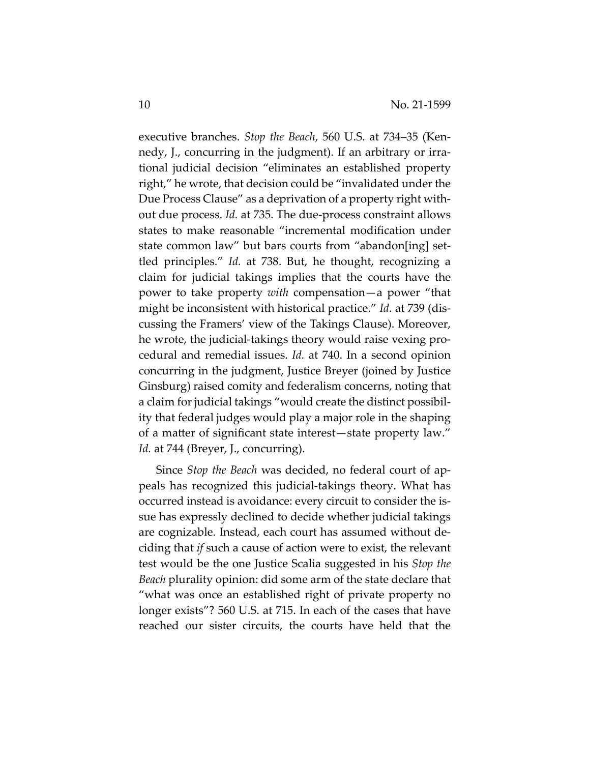executive branches. *Stop the Beach*, 560 U.S. at 734–35 (Kennedy, J., concurring in the judgment). If an arbitrary or irrational judicial decision "eliminates an established property right," he wrote, that decision could be "invalidated under the Due Process Clause" as a deprivation of a property right without due process. *Id.* at 735. The due-process constraint allows states to make reasonable "incremental modification under state common law" but bars courts from "abandon[ing] settled principles." *Id.* at 738. But, he thought, recognizing a claim for judicial takings implies that the courts have the power to take property *with* compensation—a power "that might be inconsistent with historical practice." *Id.* at 739 (discussing the Framers' view of the Takings Clause). Moreover, he wrote, the judicial-takings theory would raise vexing procedural and remedial issues. *Id.* at 740. In a second opinion concurring in the judgment, Justice Breyer (joined by Justice Ginsburg) raised comity and federalism concerns, noting that a claim for judicial takings "would create the distinct possibility that federal judges would play a major role in the shaping of a matter of significant state interest—state property law." Id. at 744 (Breyer, J., concurring).

Since *Stop the Beach* was decided, no federal court of appeals has recognized this judicial-takings theory. What has occurred instead is avoidance: every circuit to consider the issue has expressly declined to decide whether judicial takings are cognizable. Instead, each court has assumed without deciding that *if* such a cause of action were to exist, the relevant test would be the one Justice Scalia suggested in his *Stop the Beach* plurality opinion: did some arm of the state declare that "what was once an established right of private property no longer exists"? 560 U.S. at 715. In each of the cases that have reached our sister circuits, the courts have held that the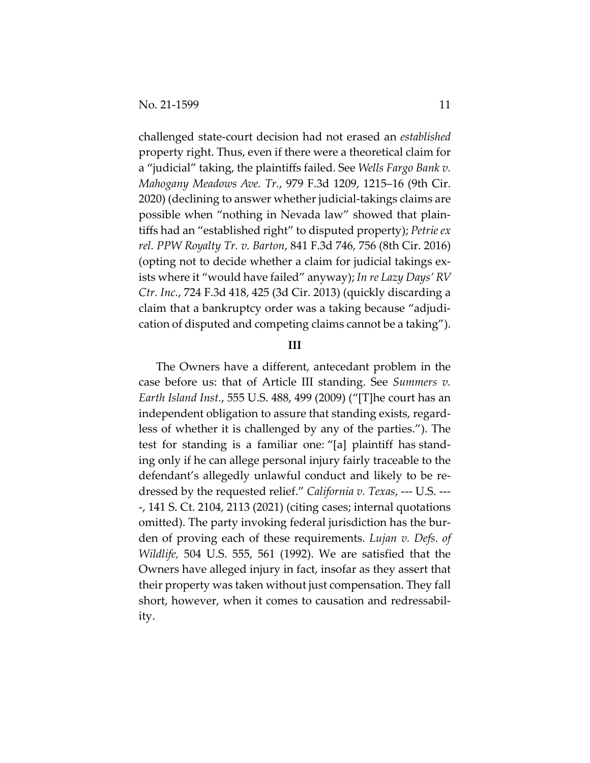challenged state-court decision had not erased an *established* property right. Thus, even if there were a theoretical claim for a "judicial" taking, the plaintiffs failed. See *Wells Fargo Bank v. Mahogany Meadows Ave. Tr.*, 979 F.3d 1209, 1215–16 (9th Cir. 2020) (declining to answer whether judicial-takings claims are possible when "nothing in Nevada law" showed that plaintiffs had an "established right" to disputed property); *Petrie ex rel. PPW Royalty Tr. v. Barton*, 841 F.3d 746, 756 (8th Cir. 2016) (opting not to decide whether a claim for judicial takings exists where it "would have failed" anyway); *In re Lazy Days' RV Ctr. Inc.*, 724 F.3d 418, 425 (3d Cir. 2013) (quickly discarding a claim that a bankruptcy order was a taking because "adjudication of disputed and competing claims cannot be a taking").

#### **III**

The Owners have a different, antecedant problem in the case before us: that of Article III standing. See *Summers v. Earth Island Inst.*, 555 U.S. 488, 499 (2009) ("[T]he court has an independent obligation to assure that standing exists, regardless of whether it is challenged by any of the parties."). The test for standing is a familiar one: "[a] plaintiff has standing only if he can allege personal injury fairly traceable to the defendant's allegedly unlawful conduct and likely to be redressed by the requested relief." *California v. Texas*, --- U.S. --- -, 141 S. Ct. 2104, 2113 (2021) (citing cases; internal quotations omitted). The party invoking federal jurisdiction has the burden of proving each of these requirements. *Lujan v. Defs. of Wildlife,* 504 U.S. 555, 561 (1992). We are satisfied that the Owners have alleged injury in fact, insofar as they assert that their property was taken without just compensation. They fall short, however, when it comes to causation and redressability.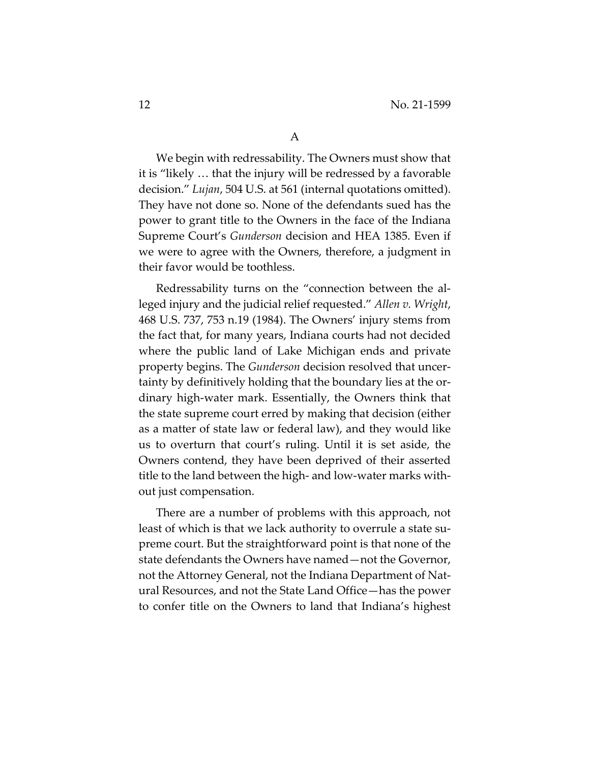We begin with redressability. The Owners must show that it is "likely … that the injury will be redressed by a favorable decision." *Lujan*, 504 U.S. at 561 (internal quotations omitted). They have not done so. None of the defendants sued has the power to grant title to the Owners in the face of the Indiana Supreme Court's *Gunderson* decision and HEA 1385. Even if we were to agree with the Owners, therefore, a judgment in their favor would be toothless.

Redressability turns on the "connection between the alleged injury and the judicial relief requested." *Allen v. Wright*, 468 U.S. 737, 753 n.19 (1984). The Owners' injury stems from the fact that, for many years, Indiana courts had not decided where the public land of Lake Michigan ends and private property begins. The *Gunderson* decision resolved that uncertainty by definitively holding that the boundary lies at the ordinary high-water mark. Essentially, the Owners think that the state supreme court erred by making that decision (either as a matter of state law or federal law), and they would like us to overturn that court's ruling. Until it is set aside, the Owners contend, they have been deprived of their asserted title to the land between the high- and low-water marks without just compensation.

There are a number of problems with this approach, not least of which is that we lack authority to overrule a state supreme court. But the straightforward point is that none of the state defendants the Owners have named—not the Governor, not the Attorney General, not the Indiana Department of Natural Resources, and not the State Land Office—has the power to confer title on the Owners to land that Indiana's highest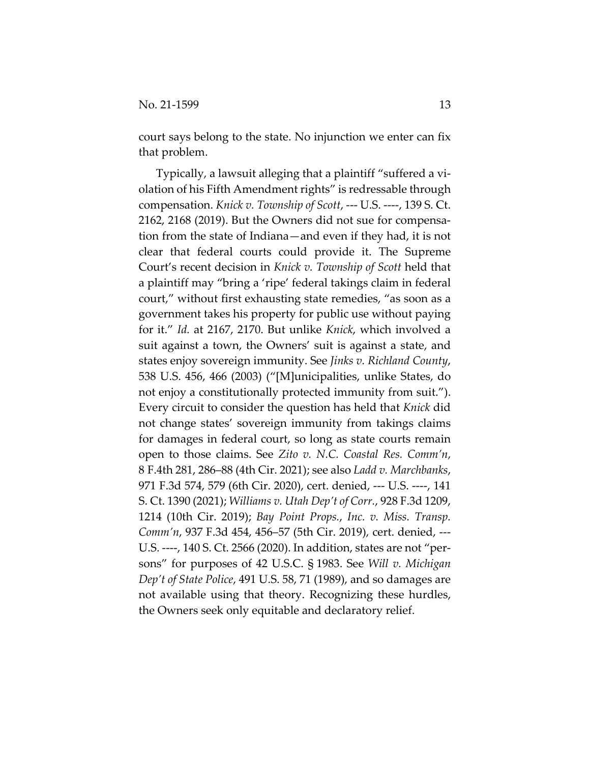court says belong to the state. No injunction we enter can fix that problem.

Typically, a lawsuit alleging that a plaintiff "suffered a violation of his Fifth Amendment rights" is redressable through compensation. *Knick v. Township of Scott*, --- U.S. ----, 139 S. Ct. 2162, 2168 (2019). But the Owners did not sue for compensation from the state of Indiana—and even if they had, it is not clear that federal courts could provide it. The Supreme Court's recent decision in *Knick v. Township of Scott* held that a plaintiff may "bring a 'ripe' federal takings claim in federal court," without first exhausting state remedies, "as soon as a government takes his property for public use without paying for it." *Id.* at 2167, 2170. But unlike *Knick*, which involved a suit against a town, the Owners' suit is against a state, and states enjoy sovereign immunity. See *Jinks v. Richland County*, 538 U.S. 456, 466 (2003) ("[M]unicipalities, unlike States, do not enjoy a constitutionally protected immunity from suit."). Every circuit to consider the question has held that *Knick* did not change states' sovereign immunity from takings claims for damages in federal court, so long as state courts remain open to those claims. See *Zito v. N.C. Coastal Res. Comm'n*, 8 F.4th 281, 286–88 (4th Cir. 2021); see also *Ladd v. Marchbanks*, 971 F.3d 574, 579 (6th Cir. 2020), cert. denied, --- U.S. ----, 141 S. Ct. 1390 (2021); *Williams v. Utah Dep't of Corr.*, 928 F.3d 1209, 1214 (10th Cir. 2019); *Bay Point Props.*, *Inc. v. Miss. Transp. Comm'n*, 937 F.3d 454, 456–57 (5th Cir. 2019), cert. denied, --- U.S. ----, 140 S. Ct. 2566 (2020). In addition, states are not "persons" for purposes of 42 U.S.C. § 1983. See *Will v. Michigan Dep't of State Police*, 491 U.S. 58, 71 (1989), and so damages are not available using that theory. Recognizing these hurdles, the Owners seek only equitable and declaratory relief.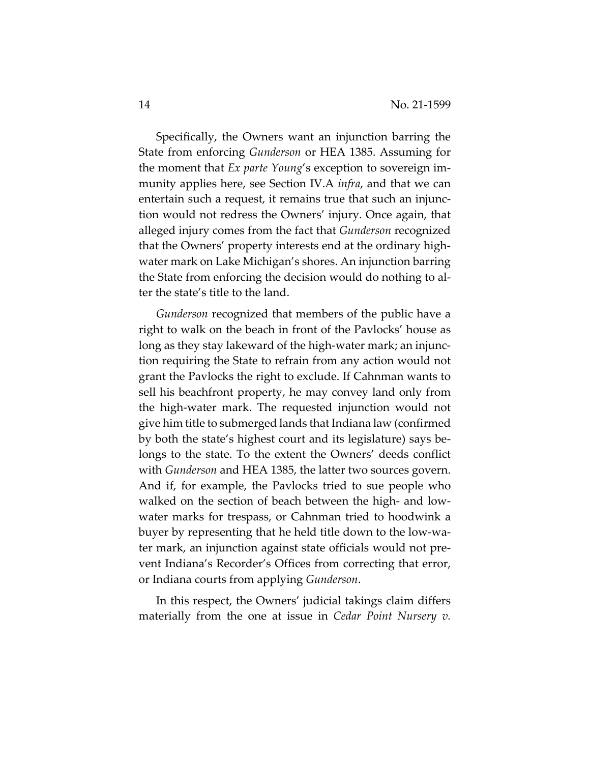Specifically, the Owners want an injunction barring the State from enforcing *Gunderson* or HEA 1385. Assuming for the moment that *Ex parte Young*'s exception to sovereign immunity applies here, see Section IV.A *infra*, and that we can entertain such a request, it remains true that such an injunction would not redress the Owners' injury. Once again, that alleged injury comes from the fact that *Gunderson* recognized that the Owners' property interests end at the ordinary highwater mark on Lake Michigan's shores. An injunction barring the State from enforcing the decision would do nothing to alter the state's title to the land.

*Gunderson* recognized that members of the public have a right to walk on the beach in front of the Pavlocks' house as long as they stay lakeward of the high-water mark; an injunction requiring the State to refrain from any action would not grant the Pavlocks the right to exclude. If Cahnman wants to sell his beachfront property, he may convey land only from the high-water mark. The requested injunction would not give him title to submerged lands that Indiana law (confirmed by both the state's highest court and its legislature) says belongs to the state. To the extent the Owners' deeds conflict with *Gunderson* and HEA 1385, the latter two sources govern. And if, for example, the Pavlocks tried to sue people who walked on the section of beach between the high- and lowwater marks for trespass, or Cahnman tried to hoodwink a buyer by representing that he held title down to the low-water mark, an injunction against state officials would not prevent Indiana's Recorder's Offices from correcting that error, or Indiana courts from applying *Gunderson*.

In this respect, the Owners' judicial takings claim differs materially from the one at issue in *Cedar Point Nursery v.*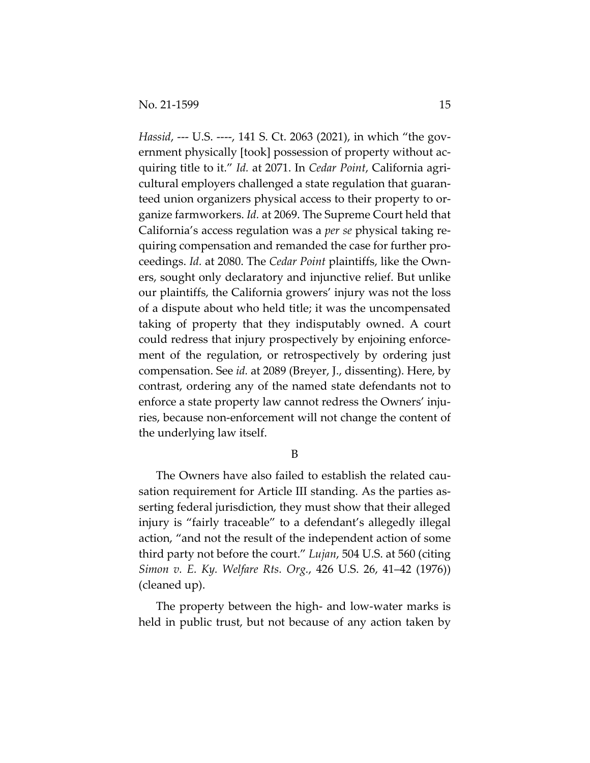*Hassid*, --- U.S. ----, 141 S. Ct. 2063 (2021), in which "the government physically [took] possession of property without acquiring title to it." *Id.* at 2071. In *Cedar Point*, California agricultural employers challenged a state regulation that guaranteed union organizers physical access to their property to organize farmworkers. *Id.* at 2069. The Supreme Court held that California's access regulation was a *per se* physical taking requiring compensation and remanded the case for further proceedings. *Id.* at 2080. The *Cedar Point* plaintiffs, like the Owners, sought only declaratory and injunctive relief. But unlike our plaintiffs, the California growers' injury was not the loss of a dispute about who held title; it was the uncompensated taking of property that they indisputably owned. A court could redress that injury prospectively by enjoining enforcement of the regulation, or retrospectively by ordering just compensation. See *id.* at 2089 (Breyer, J., dissenting). Here, by contrast, ordering any of the named state defendants not to enforce a state property law cannot redress the Owners' injuries, because non-enforcement will not change the content of the underlying law itself.

B

The Owners have also failed to establish the related causation requirement for Article III standing. As the parties asserting federal jurisdiction, they must show that their alleged injury is "fairly traceable" to a defendant's allegedly illegal action, "and not the result of the independent action of some third party not before the court." *Lujan*, 504 U.S. at 560 (citing *Simon v. E. Ky. Welfare Rts. Org.*, 426 U.S. 26, 41–42 (1976)) (cleaned up).

The property between the high- and low-water marks is held in public trust, but not because of any action taken by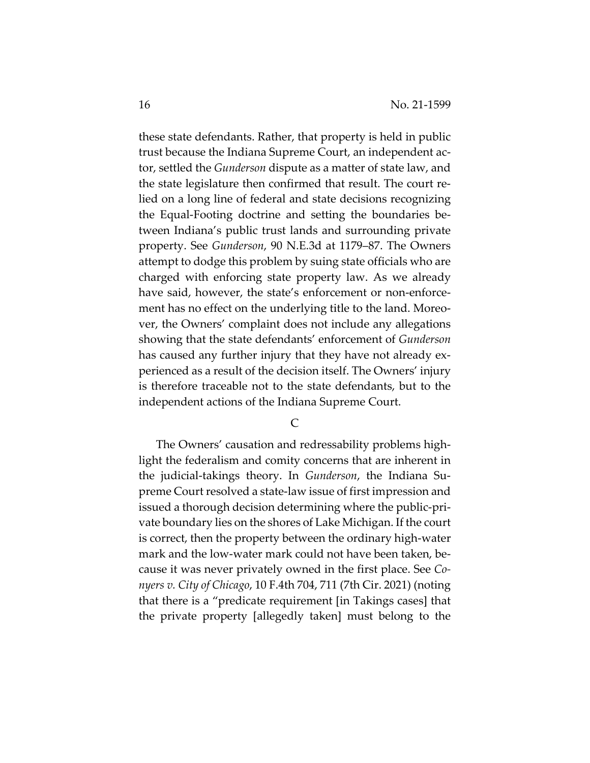these state defendants. Rather, that property is held in public trust because the Indiana Supreme Court, an independent actor, settled the *Gunderson* dispute as a matter of state law, and the state legislature then confirmed that result. The court relied on a long line of federal and state decisions recognizing the Equal-Footing doctrine and setting the boundaries between Indiana's public trust lands and surrounding private property. See *Gunderson*, 90 N.E.3d at 1179–87. The Owners attempt to dodge this problem by suing state officials who are charged with enforcing state property law. As we already have said, however, the state's enforcement or non-enforcement has no effect on the underlying title to the land. Moreover, the Owners' complaint does not include any allegations showing that the state defendants' enforcement of *Gunderson* has caused any further injury that they have not already experienced as a result of the decision itself. The Owners' injury is therefore traceable not to the state defendants, but to the independent actions of the Indiana Supreme Court.

C

The Owners' causation and redressability problems highlight the federalism and comity concerns that are inherent in the judicial-takings theory. In *Gunderson*, the Indiana Supreme Court resolved a state-law issue of first impression and issued a thorough decision determining where the public-private boundary lies on the shores of Lake Michigan. If the court is correct, then the property between the ordinary high-water mark and the low-water mark could not have been taken, because it was never privately owned in the first place. See *Conyers v. City of Chicago*, 10 F.4th 704, 711 (7th Cir. 2021) (noting that there is a "predicate requirement [in Takings cases] that the private property [allegedly taken] must belong to the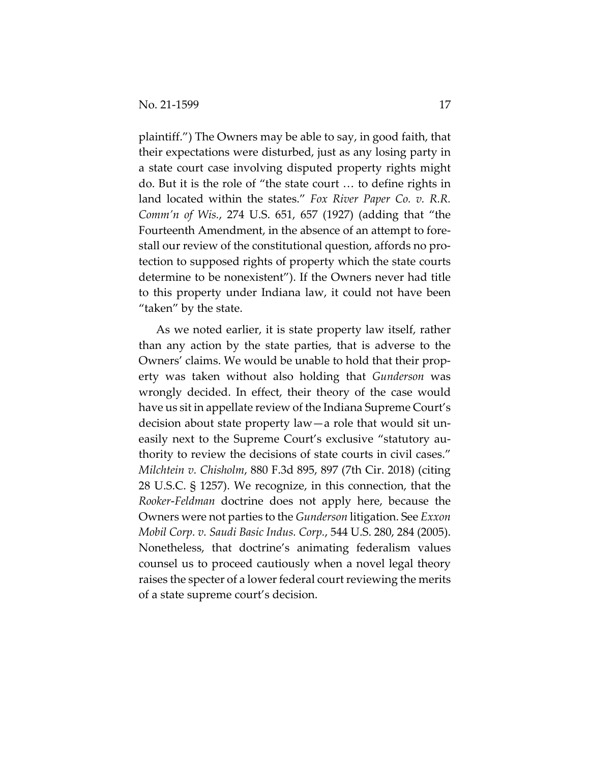plaintiff.") The Owners may be able to say, in good faith, that their expectations were disturbed, just as any losing party in a state court case involving disputed property rights might do. But it is the role of "the state court … to define rights in land located within the states." *Fox River Paper Co. v. R.R. Comm'n of Wis.*, 274 U.S. 651, 657 (1927) (adding that "the Fourteenth Amendment, in the absence of an attempt to forestall our review of the constitutional question, affords no protection to supposed rights of property which the state courts determine to be nonexistent"). If the Owners never had title to this property under Indiana law, it could not have been "taken" by the state.

As we noted earlier, it is state property law itself, rather than any action by the state parties, that is adverse to the Owners' claims. We would be unable to hold that their property was taken without also holding that *Gunderson* was wrongly decided. In effect, their theory of the case would have us sit in appellate review of the Indiana Supreme Court's decision about state property law—a role that would sit uneasily next to the Supreme Court's exclusive "statutory authority to review the decisions of state courts in civil cases." *Milchtein v. Chisholm*, 880 F.3d 895, 897 (7th Cir. 2018) (citing 28 U.S.C. § 1257). We recognize, in this connection, that the *Rooker*-*Feldman* doctrine does not apply here, because the Owners were not parties to the *Gunderson* litigation. See *Exxon Mobil Corp. v. Saudi Basic Indus. Corp.*, 544 U.S. 280, 284 (2005). Nonetheless, that doctrine's animating federalism values counsel us to proceed cautiously when a novel legal theory raises the specter of a lower federal court reviewing the merits of a state supreme court's decision.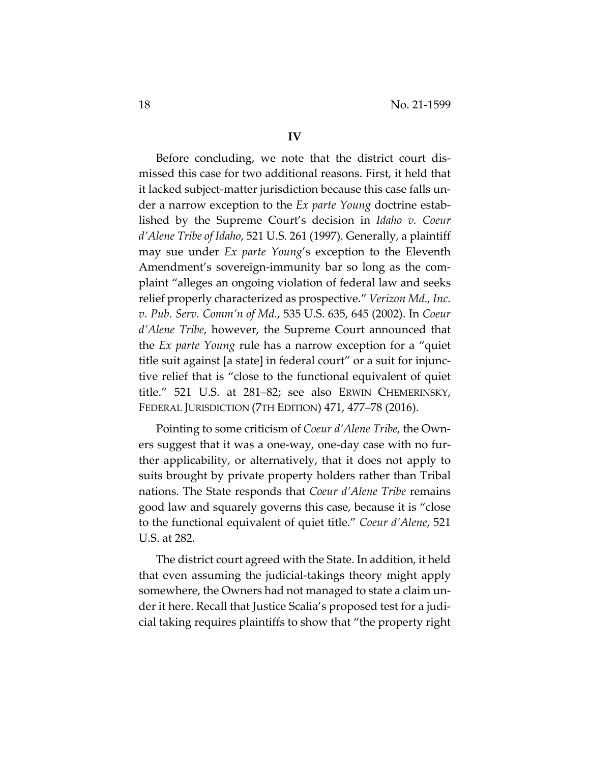Before concluding, we note that the district court dismissed this case for two additional reasons. First, it held that it lacked subject-matter jurisdiction because this case falls under a narrow exception to the *Ex parte Young* doctrine established by the Supreme Court's decision in *Idaho v. Coeur d'Alene Tribe of Idaho*, 521 U.S. 261 (1997). Generally, a plaintiff may sue under *Ex parte Young*'s exception to the Eleventh Amendment's sovereign-immunity bar so long as the complaint "alleges an ongoing violation of federal law and seeks relief properly characterized as prospective." *Verizon Md., Inc. v. Pub. Serv. Comm'n of Md.*, 535 U.S. 635, 645 (2002). In *Coeur d'Alene Tribe*, however, the Supreme Court announced that the *Ex parte Young* rule has a narrow exception for a "quiet title suit against [a state] in federal court" or a suit for injunctive relief that is "close to the functional equivalent of quiet title." 521 U.S. at 281–82; see also ERWIN CHEMERINSKY, FEDERAL JURISDICTION (7TH EDITION) 471, 477–78 (2016).

Pointing to some criticism of *Coeur d'Alene Tribe,* the Owners suggest that it was a one-way, one-day case with no further applicability, or alternatively, that it does not apply to suits brought by private property holders rather than Tribal nations. The State responds that *Coeur d'Alene Tribe* remains good law and squarely governs this case, because it is "close to the functional equivalent of quiet title." *Coeur d'Alene*, 521 U.S. at 282.

The district court agreed with the State. In addition, it held that even assuming the judicial-takings theory might apply somewhere, the Owners had not managed to state a claim under it here. Recall that Justice Scalia's proposed test for a judicial taking requires plaintiffs to show that "the property right